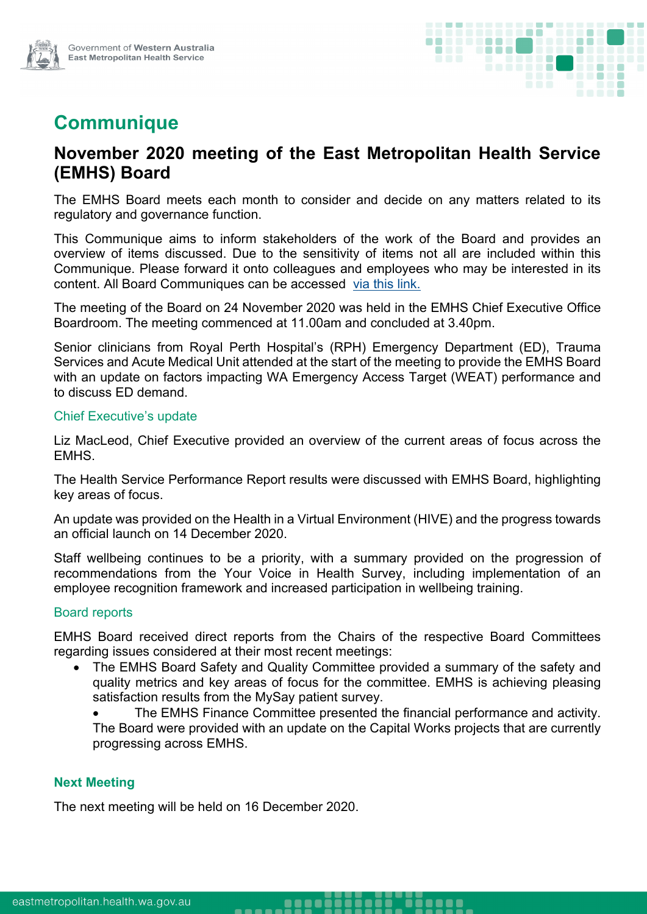

# **Communique**

# **November 2020 meeting of the East Metropolitan Health Service (EMHS) Board**

The EMHS Board meets each month to consider and decide on any matters related to its regulatory and governance function.

This Communique aims to inform stakeholders of the work of the Board and provides an overview of items discussed. Due to the sensitivity of items not all are included within this Communique. Please forward it onto colleagues and employees who may be interested in its content. All Board Communiques can be accessed [via this link.](https://emhs.health.wa.gov.au/About-Us/Health-Service-Board)

The meeting of the Board on 24 November 2020 was held in the EMHS Chief Executive Office Boardroom. The meeting commenced at 11.00am and concluded at 3.40pm.

Senior clinicians from Royal Perth Hospital's (RPH) Emergency Department (ED), Trauma Services and Acute Medical Unit attended at the start of the meeting to provide the EMHS Board with an update on factors impacting WA Emergency Access Target (WEAT) performance and to discuss ED demand.

#### Chief Executive's update

Liz MacLeod, Chief Executive provided an overview of the current areas of focus across the EMHS.

The Health Service Performance Report results were discussed with EMHS Board, highlighting key areas of focus.

An update was provided on the Health in a Virtual Environment (HIVE) and the progress towards an official launch on 14 December 2020.

Staff wellbeing continues to be a priority, with a summary provided on the progression of recommendations from the Your Voice in Health Survey, including implementation of an employee recognition framework and increased participation in wellbeing training.

## Board reports

EMHS Board received direct reports from the Chairs of the respective Board Committees regarding issues considered at their most recent meetings:

- The EMHS Board Safety and Quality Committee provided a summary of the safety and quality metrics and key areas of focus for the committee. EMHS is achieving pleasing satisfaction results from the MySay patient survey.
	- The EMHS Finance Committee presented the financial performance and activity. The Board were provided with an update on the Capital Works projects that are currently progressing across EMHS.

## **Next Meeting**

The next meeting will be held on 16 December 2020.

-----